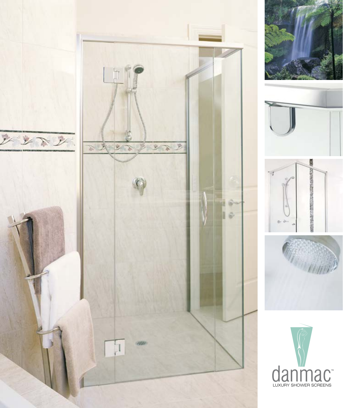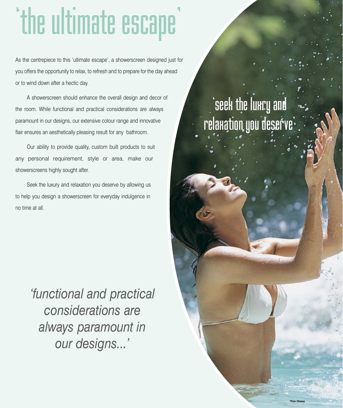## 'the ultimate escape'

As the centrepiece to this 'ultimate escape', a showerscreen designed just for you offers the opportunity to relax, to refresh and to prepare for the day ahead or to wind down after a hectic day.

A showerscreen should enhance the overall design and decor of the room. While functional and practical considerations are always paramount in our designs, our extensive colour range and innovative flair ensures an aesthetically pleasing result for any bathroom.

Our ability to provide quality, custom built products to suit any personal requirement, style or area, make our showerscreens highly sought after.

Seek the luxury and relaxation you deserve by allowing us to help you design a showerscreen for everyday indulgence in no time at all.

> *'functional and practical considerations are always paramount in our designs...'*

#### occo unc nun y ana<br>Isustino non docor relaxation you deserve'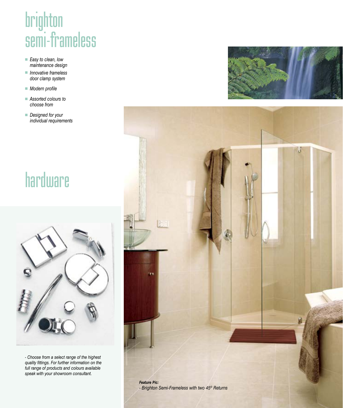### prighton<br>**semi**-fra  $\overline{S}$  sex to clean, low<br> $\overline{S}$  = Easy to clean, low

- *Easy to clean, low maintenance design*
- *Innovative frameless door clamp system*
- *Modern profile*
- *Assorted colours to choose from*
- *Designed for your individual requirements*

#### hardware



*- Choose from a select range of the highest quality fittings. For further information on the full range of products and colours available speak with your showroom consultant.*



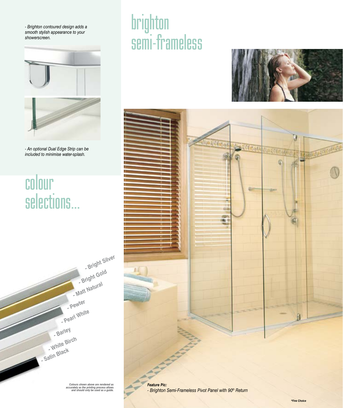*- Brighton contoured design adds a smooth stylish appearance to your showerscreen.*



*- An optional Dual Edge Strip can be included to minimise water-splash.*

### colour<br>selecti selections...



brighton<br>semi-fra semi-frameless<br>Semi-frameless





*Feature Pic: - Brighton Semi-Frameless Pivot Panel with 90º Return*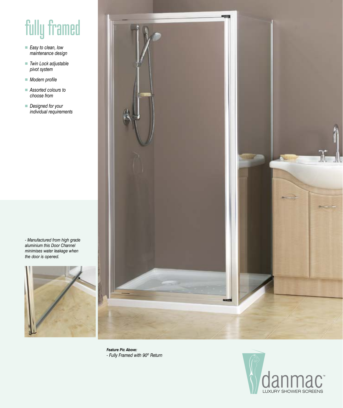#### fully framed

- *Easy to clean, low maintenance design*
- *Twin Lock adjustable pivot system*
- *Modern profile*
- *Assorted colours to choose from*
- *Designed for your individual requirements*

*- Manufactured from high grade aluminium this Door Channel minimises water leakage when the door is opened.*





*Feature Pic Above: - Fully Framed with 90º Return*

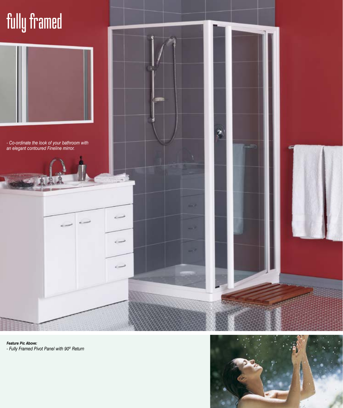#### fully framed



*- Co-ordinate the look of your bathroom with an elegant contoured Fineline mirror.*





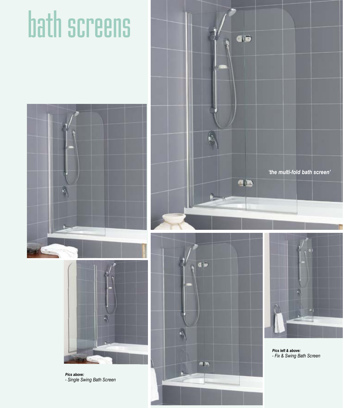# bath screens





*Pics above: - Single Swing Bath Screen*







*Pics left & above: - Fix & Swing Bath Screen*